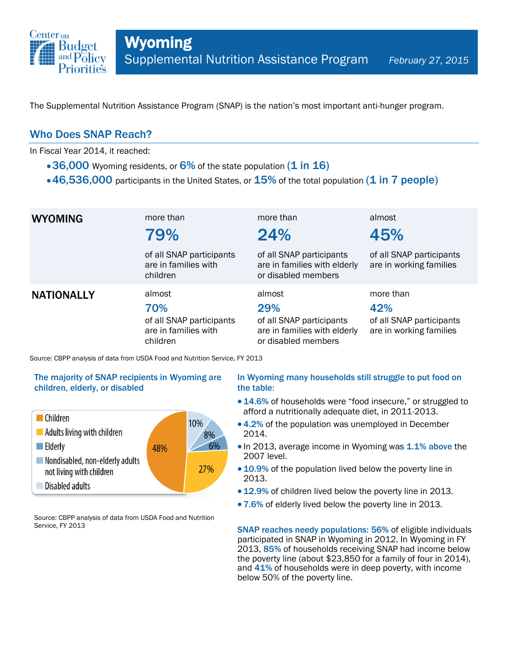

The Supplemental Nutrition Assistance Program (SNAP) is the nation's most important anti-hunger program.

### Who Does SNAP Reach?

In Fiscal Year 2014, it reached:

- 36,000 Wyoming residents, or  $6\%$  of the state population (1 in 16)
- $\cdot$  46,536,000 participants in the United States, or  $15\%$  of the total population (1 in 7 people)

| <b>WYOMING</b>    | more than<br>79%<br>of all SNAP participants                                  | more than<br>24%<br>of all SNAP participants                                                     | almost<br>45%<br>of all SNAP participants                               |
|-------------------|-------------------------------------------------------------------------------|--------------------------------------------------------------------------------------------------|-------------------------------------------------------------------------|
|                   | are in families with<br>children                                              | are in families with elderly<br>or disabled members                                              | are in working families                                                 |
| <b>NATIONALLY</b> | almost<br>70%<br>of all SNAP participants<br>are in families with<br>children | almost<br>29%<br>of all SNAP participants<br>are in families with elderly<br>or disabled members | more than<br>42%<br>of all SNAP participants<br>are in working families |

Source: CBPP analysis of data from USDA Food and Nutrition Service, FY 2013

#### The majority of SNAP recipients in Wyoming are children, elderly, or disabled



Source: CBPP analysis of data from USDA Food and Nutrition Service, FY 2013

#### In Wyoming many households still struggle to put food on the table:

- 14.6% of households were "food insecure," or struggled to afford a nutritionally adequate diet, in 2011-2013.
- 4.2% of the population was unemployed in December 2014.
- In 2013, average income in Wyoming was 1.1% above the 2007 level.
- 10.9% of the population lived below the poverty line in 2013.
- 12.9% of children lived below the poverty line in 2013.
- 7.6% of elderly lived below the poverty line in 2013.

SNAP reaches needy populations: 56% of eligible individuals participated in SNAP in Wyoming in 2012. In Wyoming in FY 2013, 85% of households receiving SNAP had income below the poverty line (about \$23,850 for a family of four in 2014), and 41% of households were in deep poverty, with income below 50% of the poverty line.